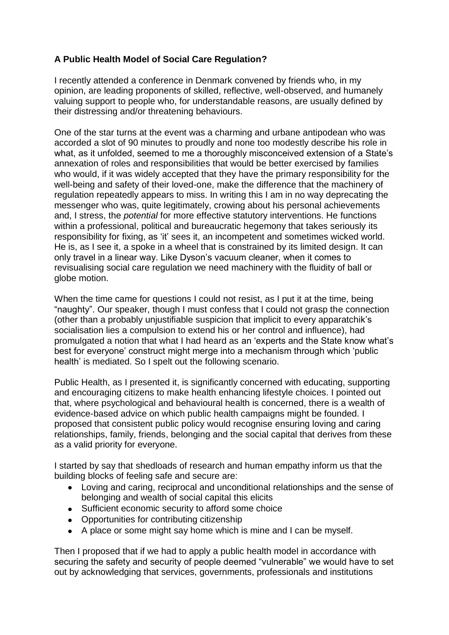## **A Public Health Model of Social Care Regulation?**

I recently attended a conference in Denmark convened by friends who, in my opinion, are leading proponents of skilled, reflective, well-observed, and humanely valuing support to people who, for understandable reasons, are usually defined by their distressing and/or threatening behaviours.

One of the star turns at the event was a charming and urbane antipodean who was accorded a slot of 90 minutes to proudly and none too modestly describe his role in what, as it unfolded, seemed to me a thoroughly misconceived extension of a State's annexation of roles and responsibilities that would be better exercised by families who would, if it was widely accepted that they have the primary responsibility for the well-being and safety of their loved-one, make the difference that the machinery of regulation repeatedly appears to miss. In writing this I am in no way deprecating the messenger who was, quite legitimately, crowing about his personal achievements and, I stress, the *potential* for more effective statutory interventions. He functions within a professional, political and bureaucratic hegemony that takes seriously its responsibility for fixing, as 'it' sees it, an incompetent and sometimes wicked world. He is, as I see it, a spoke in a wheel that is constrained by its limited design. It can only travel in a linear way. Like Dyson's vacuum cleaner, when it comes to revisualising social care regulation we need machinery with the fluidity of ball or globe motion.

When the time came for questions I could not resist, as I put it at the time, being "naughty". Our speaker, though I must confess that I could not grasp the connection (other than a probably unjustifiable suspicion that implicit to every apparatchik's socialisation lies a compulsion to extend his or her control and influence), had promulgated a notion that what I had heard as an 'experts and the State know what's best for everyone' construct might merge into a mechanism through which 'public health' is mediated. So I spelt out the following scenario.

Public Health, as I presented it, is significantly concerned with educating, supporting and encouraging citizens to make health enhancing lifestyle choices. I pointed out that, where psychological and behavioural health is concerned, there is a wealth of evidence-based advice on which public health campaigns might be founded. I proposed that consistent public policy would recognise ensuring loving and caring relationships, family, friends, belonging and the social capital that derives from these as a valid priority for everyone.

I started by say that shedloads of research and human empathy inform us that the building blocks of feeling safe and secure are:

- Loving and caring, reciprocal and unconditional relationships and the sense of belonging and wealth of social capital this elicits
- Sufficient economic security to afford some choice
- Opportunities for contributing citizenship
- A place or some might say home which is mine and I can be myself.

Then I proposed that if we had to apply a public health model in accordance with securing the safety and security of people deemed "vulnerable" we would have to set out by acknowledging that services, governments, professionals and institutions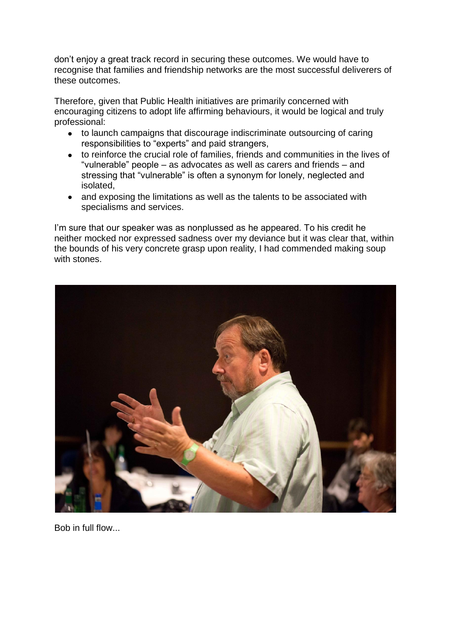don't enjoy a great track record in securing these outcomes. We would have to recognise that families and friendship networks are the most successful deliverers of these outcomes.

Therefore, given that Public Health initiatives are primarily concerned with encouraging citizens to adopt life affirming behaviours, it would be logical and truly professional:

- to launch campaigns that discourage indiscriminate outsourcing of caring  $\bullet$ responsibilities to "experts" and paid strangers,
- to reinforce the crucial role of families, friends and communities in the lives of  $\bullet$ "vulnerable" people – as advocates as well as carers and friends – and stressing that "vulnerable" is often a synonym for lonely, neglected and isolated,
- and exposing the limitations as well as the talents to be associated with specialisms and services.

I'm sure that our speaker was as nonplussed as he appeared. To his credit he neither mocked nor expressed sadness over my deviance but it was clear that, within the bounds of his very concrete grasp upon reality, I had commended making soup with stones.



Bob in full flow...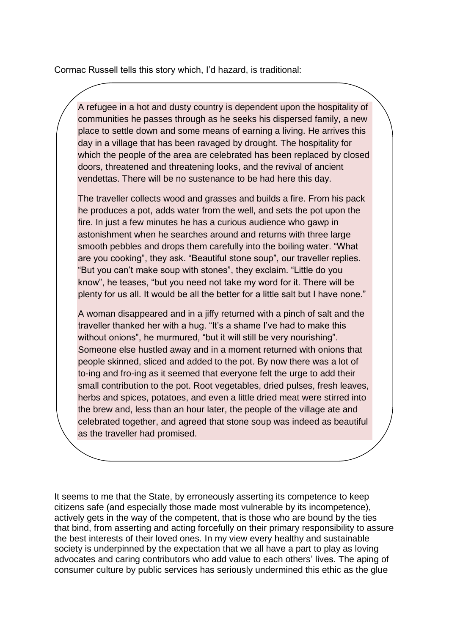Cormac Russell tells this story which, I'd hazard, is traditional:

A refugee in a hot and dusty country is dependent upon the hospitality of communities he passes through as he seeks his dispersed family, a new place to settle down and some means of earning a living. He arrives this day in a village that has been ravaged by drought. The hospitality for which the people of the area are celebrated has been replaced by closed doors, threatened and threatening looks, and the revival of ancient vendettas. There will be no sustenance to be had here this day.

The traveller collects wood and grasses and builds a fire. From his pack he produces a pot, adds water from the well, and sets the pot upon the fire. In just a few minutes he has a curious audience who gawp in astonishment when he searches around and returns with three large smooth pebbles and drops them carefully into the boiling water. "What are you cooking", they ask. "Beautiful stone soup", our traveller replies. "But you can't make soup with stones", they exclaim. "Little do you know", he teases, "but you need not take my word for it. There will be plenty for us all. It would be all the better for a little salt but I have none."

A woman disappeared and in a jiffy returned with a pinch of salt and the traveller thanked her with a hug. "It's a shame I've had to make this without onions", he murmured, "but it will still be very nourishing". Someone else hustled away and in a moment returned with onions that people skinned, sliced and added to the pot. By now there was a lot of to-ing and fro-ing as it seemed that everyone felt the urge to add their small contribution to the pot. Root vegetables, dried pulses, fresh leaves, herbs and spices, potatoes, and even a little dried meat were stirred into the brew and, less than an hour later, the people of the village ate and celebrated together, and agreed that stone soup was indeed as beautiful as the traveller had promised.

It seems to me that the State, by erroneously asserting its competence to keep citizens safe (and especially those made most vulnerable by its incompetence), actively gets in the way of the competent, that is those who are bound by the ties that bind, from asserting and acting forcefully on their primary responsibility to assure the best interests of their loved ones. In my view every healthy and sustainable society is underpinned by the expectation that we all have a part to play as loving advocates and caring contributors who add value to each others' lives. The aping of consumer culture by public services has seriously undermined this ethic as the glue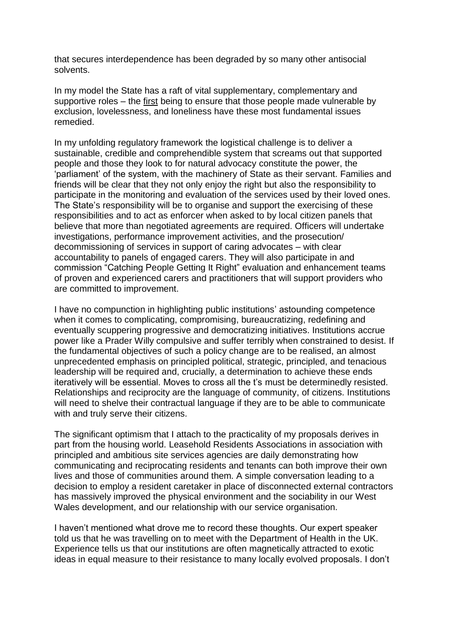that secures interdependence has been degraded by so many other antisocial solvents.

In my model the State has a raft of vital supplementary, complementary and supportive roles – the first being to ensure that those people made vulnerable by exclusion, lovelessness, and loneliness have these most fundamental issues remedied.

In my unfolding regulatory framework the logistical challenge is to deliver a sustainable, credible and comprehendible system that screams out that supported people and those they look to for natural advocacy constitute the power, the 'parliament' of the system, with the machinery of State as their servant. Families and friends will be clear that they not only enjoy the right but also the responsibility to participate in the monitoring and evaluation of the services used by their loved ones. The State's responsibility will be to organise and support the exercising of these responsibilities and to act as enforcer when asked to by local citizen panels that believe that more than negotiated agreements are required. Officers will undertake investigations, performance improvement activities, and the prosecution/ decommissioning of services in support of caring advocates – with clear accountability to panels of engaged carers. They will also participate in and commission "Catching People Getting It Right" evaluation and enhancement teams of proven and experienced carers and practitioners that will support providers who are committed to improvement.

I have no compunction in highlighting public institutions' astounding competence when it comes to complicating, compromising, bureaucratizing, redefining and eventually scuppering progressive and democratizing initiatives. Institutions accrue power like a Prader Willy compulsive and suffer terribly when constrained to desist. If the fundamental objectives of such a policy change are to be realised, an almost unprecedented emphasis on principled political, strategic, principled, and tenacious leadership will be required and, crucially, a determination to achieve these ends iteratively will be essential. Moves to cross all the t's must be determinedly resisted. Relationships and reciprocity are the language of community, of citizens. Institutions will need to shelve their contractual language if they are to be able to communicate with and truly serve their citizens.

The significant optimism that I attach to the practicality of my proposals derives in part from the housing world. Leasehold Residents Associations in association with principled and ambitious site services agencies are daily demonstrating how communicating and reciprocating residents and tenants can both improve their own lives and those of communities around them. A simple conversation leading to a decision to employ a resident caretaker in place of disconnected external contractors has massively improved the physical environment and the sociability in our West Wales development, and our relationship with our service organisation.

I haven't mentioned what drove me to record these thoughts. Our expert speaker told us that he was travelling on to meet with the Department of Health in the UK. Experience tells us that our institutions are often magnetically attracted to exotic ideas in equal measure to their resistance to many locally evolved proposals. I don't